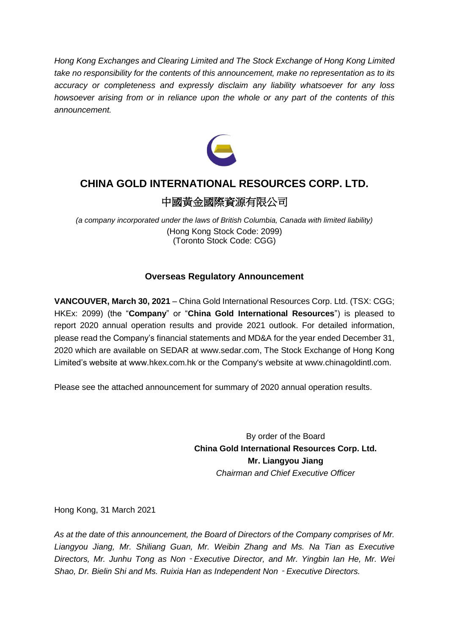*Hong Kong Exchanges and Clearing Limited and The Stock Exchange of Hong Kong Limited take no responsibility for the contents of this announcement, make no representation as to its accuracy or completeness and expressly disclaim any liability whatsoever for any loss howsoever arising from or in reliance upon the whole or any part of the contents of this announcement.*



# **CHINA GOLD INTERNATIONAL RESOURCES CORP. LTD.**

# 中國黃金國際資源有限公司

*(a company incorporated under the laws of British Columbia, Canada with limited liability)* (Hong Kong Stock Code: 2099) (Toronto Stock Code: CGG)

# **Overseas Regulatory Announcement**

**VANCOUVER, March 30, 2021** – China Gold International Resources Corp. Ltd. (TSX: CGG; HKEx: 2099) (the "**Company**" or "**China Gold International Resources**") is pleased to report 2020 annual operation results and provide 2021 outlook. For detailed information, please read the Company's financial statements and MD&A for the year ended December 31, 2020 which are available on SEDAR at www.sedar.com, The Stock Exchange of Hong Kong Limited's website at www.hkex.com.hk or the Company's website at www.chinagoldintl.com.

Please see the attached announcement for summary of 2020 annual operation results.

By order of the Board **China Gold International Resources Corp. Ltd. Mr. Liangyou Jiang** *Chairman and Chief Executive Officer*

Hong Kong, 31 March 2021

*As at the date of this announcement, the Board of Directors of the Company comprises of Mr. Liangyou Jiang, Mr. Shiliang Guan, Mr. Weibin Zhang and Ms. Na Tian as Executive Directors, Mr. Junhu Tong as Non*‐*Executive Director, and Mr. Yingbin Ian He, Mr. Wei Shao, Dr. Bielin Shi and Ms. Ruixia Han as Independent Non*‐*Executive Directors.*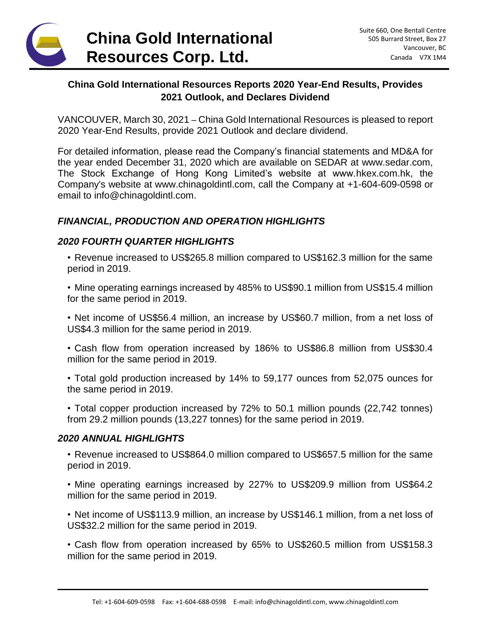

# **China Gold International Resources Reports 2020 Year-End Results, Provides 2021 Outlook, and Declares Dividend**

VANCOUVER, March 30, 2021 – China Gold International Resources is pleased to report 2020 Year-End Results, provide 2021 Outlook and declare dividend.

For detailed information, please read the Company's financial statements and MD&A for the year ended December 31, 2020 which are available on SEDAR at www.sedar.com, The Stock Exchange of Hong Kong Limited's website at www.hkex.com.hk, the Company's website at www.chinagoldintl.com, call the Company at +1-604-609-0598 or email to info@chinagoldintl.com.

## *FINANCIAL, PRODUCTION AND OPERATION HIGHLIGHTS*

#### *2020 FOURTH QUARTER HIGHLIGHTS*

• Revenue increased to US\$265.8 million compared to US\$162.3 million for the same period in 2019.

• Mine operating earnings increased by 485% to US\$90.1 million from US\$15.4 million for the same period in 2019.

• Net income of US\$56.4 million, an increase by US\$60.7 million, from a net loss of US\$4.3 million for the same period in 2019.

• Cash flow from operation increased by 186% to US\$86.8 million from US\$30.4 million for the same period in 2019.

• Total gold production increased by 14% to 59,177 ounces from 52,075 ounces for the same period in 2019.

• Total copper production increased by 72% to 50.1 million pounds (22,742 tonnes) from 29.2 million pounds (13,227 tonnes) for the same period in 2019.

#### *2020 ANNUAL HIGHLIGHTS*

• Revenue increased to US\$864.0 million compared to US\$657.5 million for the same period in 2019.

• Mine operating earnings increased by 227% to US\$209.9 million from US\$64.2 million for the same period in 2019.

• Net income of US\$113.9 million, an increase by US\$146.1 million, from a net loss of US\$32.2 million for the same period in 2019.

• Cash flow from operation increased by 65% to US\$260.5 million from US\$158.3 million for the same period in 2019.

\_\_\_\_\_\_\_\_\_\_\_\_\_\_\_\_\_\_\_\_\_\_\_\_\_\_\_\_\_\_\_\_\_\_\_\_\_\_\_\_\_\_\_\_\_\_\_\_\_\_\_\_\_\_\_\_\_\_\_\_\_\_\_\_\_\_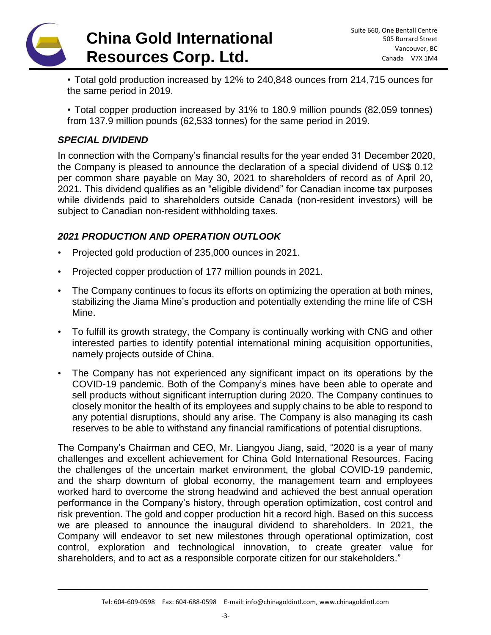

• Total gold production increased by 12% to 240,848 ounces from 214,715 ounces for the same period in 2019.

• Total copper production increased by 31% to 180.9 million pounds (82,059 tonnes) from 137.9 million pounds (62,533 tonnes) for the same period in 2019.

### *SPECIAL DIVIDEND*

In connection with the Company's financial results for the year ended 31 December 2020, the Company is pleased to announce the declaration of a special dividend of US\$ 0.12 per common share payable on May 30, 2021 to shareholders of record as of April 20, 2021. This dividend qualifies as an "eligible dividend" for Canadian income tax purposes while dividends paid to shareholders outside Canada (non-resident investors) will be subject to Canadian non-resident withholding taxes.

## *2021 PRODUCTION AND OPERATION OUTLOOK*

- Projected gold production of 235,000 ounces in 2021.
- Projected copper production of 177 million pounds in 2021.
- The Company continues to focus its efforts on optimizing the operation at both mines, stabilizing the Jiama Mine's production and potentially extending the mine life of CSH Mine.
- To fulfill its growth strategy, the Company is continually working with CNG and other interested parties to identify potential international mining acquisition opportunities, namely projects outside of China.
- The Company has not experienced any significant impact on its operations by the COVID-19 pandemic. Both of the Company's mines have been able to operate and sell products without significant interruption during 2020. The Company continues to closely monitor the health of its employees and supply chains to be able to respond to any potential disruptions, should any arise. The Company is also managing its cash reserves to be able to withstand any financial ramifications of potential disruptions.

The Company's Chairman and CEO, Mr. Liangyou Jiang, said, "2020 is a year of many challenges and excellent achievement for China Gold International Resources. Facing the challenges of the uncertain market environment, the global COVID-19 pandemic, and the sharp downturn of global economy, the management team and employees worked hard to overcome the strong headwind and achieved the best annual operation performance in the Company's history, through operation optimization, cost control and risk prevention. The gold and copper production hit a record high. Based on this success we are pleased to announce the inaugural dividend to shareholders. In 2021, the Company will endeavor to set new milestones through operational optimization, cost control, exploration and technological innovation, to create greater value for shareholders, and to act as a responsible corporate citizen for our stakeholders."

\_\_\_\_\_\_\_\_\_\_\_\_\_\_\_\_\_\_\_\_\_\_\_\_\_\_\_\_\_\_\_\_\_\_\_\_\_\_\_\_\_\_\_\_\_\_\_\_\_\_\_\_\_\_\_\_\_\_\_\_\_\_\_\_\_\_